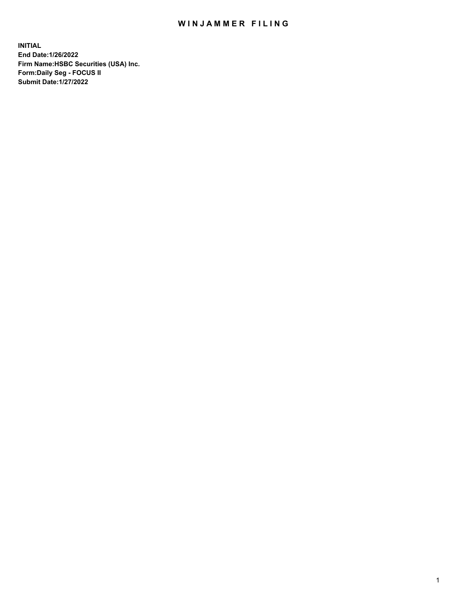## WIN JAMMER FILING

**INITIAL End Date:1/26/2022 Firm Name:HSBC Securities (USA) Inc. Form:Daily Seg - FOCUS II Submit Date:1/27/2022**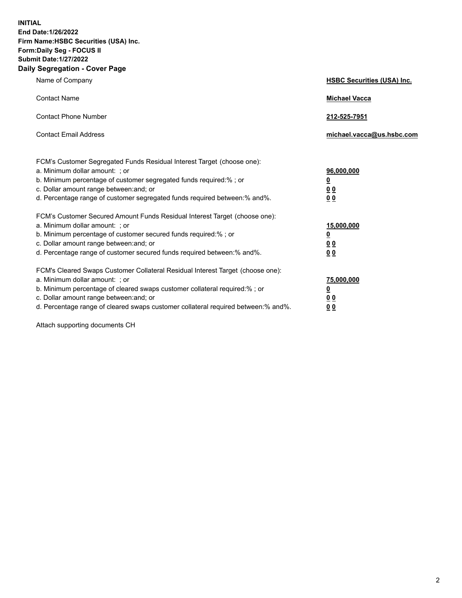**INITIAL End Date:1/26/2022 Firm Name:HSBC Securities (USA) Inc. Form:Daily Seg - FOCUS II Submit Date:1/27/2022 Daily Segregation - Cover Page**

| Name of Company                                                                                                                                                                                                                                                                                                                | <b>HSBC Securities (USA) Inc.</b>              |
|--------------------------------------------------------------------------------------------------------------------------------------------------------------------------------------------------------------------------------------------------------------------------------------------------------------------------------|------------------------------------------------|
| <b>Contact Name</b>                                                                                                                                                                                                                                                                                                            | <b>Michael Vacca</b>                           |
| <b>Contact Phone Number</b>                                                                                                                                                                                                                                                                                                    | 212-525-7951                                   |
| <b>Contact Email Address</b>                                                                                                                                                                                                                                                                                                   | michael.vacca@us.hsbc.com                      |
| FCM's Customer Segregated Funds Residual Interest Target (choose one):<br>a. Minimum dollar amount: ; or<br>b. Minimum percentage of customer segregated funds required:%; or<br>c. Dollar amount range between: and; or<br>d. Percentage range of customer segregated funds required between:% and%.                          | 96,000,000<br><u>0</u><br>0 <sub>0</sub><br>00 |
| FCM's Customer Secured Amount Funds Residual Interest Target (choose one):<br>a. Minimum dollar amount: ; or<br>b. Minimum percentage of customer secured funds required:%; or<br>c. Dollar amount range between: and; or<br>d. Percentage range of customer secured funds required between:% and%.                            | 15,000,000<br><u>0</u><br>0 <sub>0</sub><br>00 |
| FCM's Cleared Swaps Customer Collateral Residual Interest Target (choose one):<br>a. Minimum dollar amount: ; or<br>b. Minimum percentage of cleared swaps customer collateral required:% ; or<br>c. Dollar amount range between: and; or<br>d. Percentage range of cleared swaps customer collateral required between:% and%. | 75,000,000<br><u>0</u><br><u>00</u><br>00      |

Attach supporting documents CH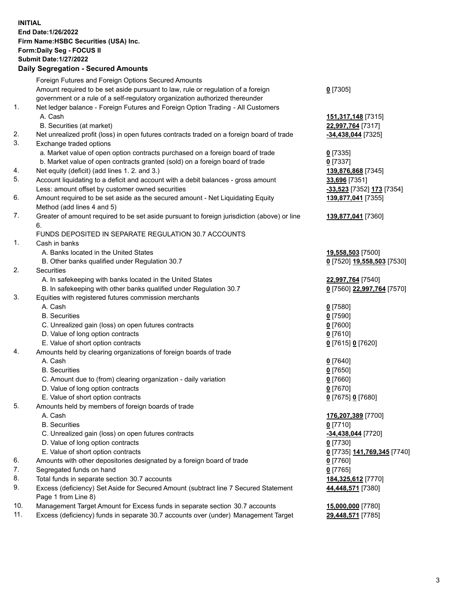**INITIAL End Date:1/26/2022 Firm Name:HSBC Securities (USA) Inc. Form:Daily Seg - FOCUS II Submit Date:1/27/2022 Daily Segregation - Secured Amounts** Foreign Futures and Foreign Options Secured Amounts Amount required to be set aside pursuant to law, rule or regulation of a foreign government or a rule of a self-regulatory organization authorized thereunder **0** [7305] 1. Net ledger balance - Foreign Futures and Foreign Option Trading - All Customers A. Cash **151,317,148** [7315] B. Securities (at market) **22,997,764** [7317] 2. Net unrealized profit (loss) in open futures contracts traded on a foreign board of trade **-34,438,044** [7325] 3. Exchange traded options a. Market value of open option contracts purchased on a foreign board of trade **0** [7335] b. Market value of open contracts granted (sold) on a foreign board of trade **0** [7337] 4. Net equity (deficit) (add lines 1. 2. and 3.) **139,876,868** [7345] 5. Account liquidating to a deficit and account with a debit balances - gross amount **33,696** [7351] Less: amount offset by customer owned securities **-33,523** [7352] **173** [7354] 6. Amount required to be set aside as the secured amount - Net Liquidating Equity Method (add lines 4 and 5) **139,877,041** [7355] 7. Greater of amount required to be set aside pursuant to foreign jurisdiction (above) or line 6. **139,877,041** [7360] FUNDS DEPOSITED IN SEPARATE REGULATION 30.7 ACCOUNTS 1. Cash in banks A. Banks located in the United States **19,558,503** [7500] B. Other banks qualified under Regulation 30.7 **0** [7520] **19,558,503** [7530] 2. Securities A. In safekeeping with banks located in the United States **22,997,764** [7540] B. In safekeeping with other banks qualified under Regulation 30.7 **0** [7560] **22,997,764** [7570] 3. Equities with registered futures commission merchants A. Cash **0** [7580] B. Securities **0** [7590] C. Unrealized gain (loss) on open futures contracts **0** [7600] D. Value of long option contracts **0** [7610] E. Value of short option contracts **0** [7615] **0** [7620] 4. Amounts held by clearing organizations of foreign boards of trade A. Cash **0** [7640] B. Securities **0** [7650] C. Amount due to (from) clearing organization - daily variation **0** [7660] D. Value of long option contracts **0** [7670] E. Value of short option contracts **0** [7675] **0** [7680] 5. Amounts held by members of foreign boards of trade A. Cash **176,207,389** [7700] B. Securities **0** [7710] C. Unrealized gain (loss) on open futures contracts **-34,438,044** [7720] D. Value of long option contracts **0** [7730] E. Value of short option contracts **0** [7735] **141,769,345** [7740] 6. Amounts with other depositories designated by a foreign board of trade **0** [7760] 7. Segregated funds on hand **0** [7765] 8. Total funds in separate section 30.7 accounts **184,325,612** [7770] 9. Excess (deficiency) Set Aside for Secured Amount (subtract line 7 Secured Statement Page 1 from Line 8) **44,448,571** [7380] 10. Management Target Amount for Excess funds in separate section 30.7 accounts **15,000,000** [7780]

11. Excess (deficiency) funds in separate 30.7 accounts over (under) Management Target **29,448,571** [7785]

3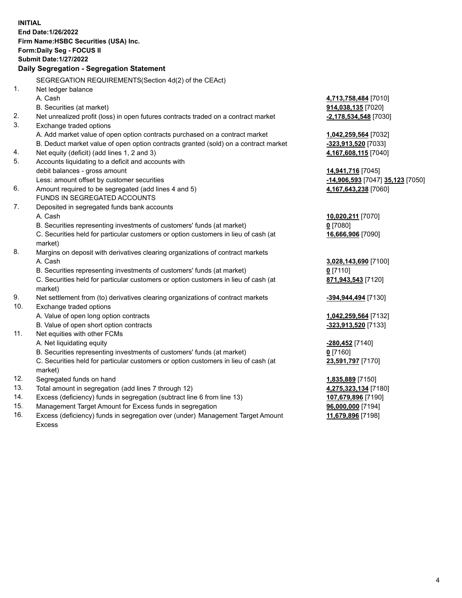**INITIAL End Date:1/26/2022 Firm Name:HSBC Securities (USA) Inc. Form:Daily Seg - FOCUS II Submit Date:1/27/2022 Daily Segregation - Segregation Statement** SEGREGATION REQUIREMENTS(Section 4d(2) of the CEAct) 1. Net ledger balance A. Cash **4,713,758,484** [7010] B. Securities (at market) **914,038,135** [7020] 2. Net unrealized profit (loss) in open futures contracts traded on a contract market **-2,178,534,548** [7030] 3. Exchange traded options A. Add market value of open option contracts purchased on a contract market **1,042,259,564** [7032] B. Deduct market value of open option contracts granted (sold) on a contract market **-323,913,520** [7033] 4. Net equity (deficit) (add lines 1, 2 and 3) **4,167,608,115** [7040] 5. Accounts liquidating to a deficit and accounts with debit balances - gross amount **14,941,716** [7045] Less: amount offset by customer securities **-14,906,593** [7047] **35,123** [7050] 6. Amount required to be segregated (add lines 4 and 5) **4,167,643,238** [7060] FUNDS IN SEGREGATED ACCOUNTS 7. Deposited in segregated funds bank accounts A. Cash **10,020,211** [7070] B. Securities representing investments of customers' funds (at market) **0** [7080] C. Securities held for particular customers or option customers in lieu of cash (at market) **16,666,906** [7090] 8. Margins on deposit with derivatives clearing organizations of contract markets A. Cash **3,028,143,690** [7100] B. Securities representing investments of customers' funds (at market) **0** [7110] C. Securities held for particular customers or option customers in lieu of cash (at market) **871,943,543** [7120] 9. Net settlement from (to) derivatives clearing organizations of contract markets **-394,944,494** [7130] 10. Exchange traded options A. Value of open long option contracts **1,042,259,564** [7132] B. Value of open short option contracts **-323,913,520** [7133] 11. Net equities with other FCMs A. Net liquidating equity **-280,452** [7140] B. Securities representing investments of customers' funds (at market) **0** [7160] C. Securities held for particular customers or option customers in lieu of cash (at market) **23,591,797** [7170] 12. Segregated funds on hand **1,835,889** [7150] 13. Total amount in segregation (add lines 7 through 12) **4,275,323,134** [7180] 14. Excess (deficiency) funds in segregation (subtract line 6 from line 13) **107,679,896** [7190] 15. Management Target Amount for Excess funds in segregation **96,000,000** [7194]

16. Excess (deficiency) funds in segregation over (under) Management Target Amount Excess

**11,679,896** [7198]